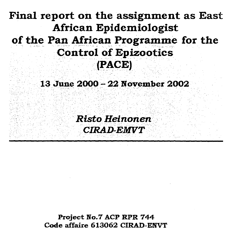# **Final report on the assignment as East African Epidemiologist of the Pan African Programme for the Control of Epizootics (PACE)**

### **13 June 2000 - 22 November 2002**

*Risto Heinonen CIRAD-EMTTT* 

**Project No.7 ACP RPR 744 Code affaire 613062 CIRAD-ENVT**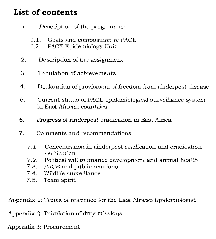# **List of contents**

- 1. Description of the programme:
	- 1.1. Goals and composition of PACE
	- 1.2. PACE Epidemiology Unit
- 2. Description of the assignment
- 3. Tabulation of achievements
- 4. Declaration of provisional of freedom from rinderpest disease
- 5. Current status of PACE epidemiological surveillance system in East African countries
- 6. Progress of rinderpest eradication in East Africa
- 7. Comments and recommendations
	- 7.1. Concentration in rinderpest eradication and eradication verification
	- 7.2. Political will to finance development and animal health
	- 7.3. PACE and public relations
	- 7.4. Wildlife surveillance
	- 7.5. Teamspirit

Appendix 1: Terms of reference for the East African Epidemiologist

Appendix 2: Tabulation of duty missions

Appendix 3: Procurement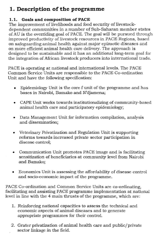# **1 Description of the programme**

### **1.1. Goals and composition of PACE**

The improvement of livelihoods and food security of livestockdependent communities in a number of Sub-Saharan member states of AU is the overriding goal of PACE. The goal will be pursued through improved productivity of livestock resources in PACE Regions, based on safeguarding animal health against major epizootic diseases and on more efficient animal health care delivery. The approach is designed to be sustainable and it has an additional long-term goal for the integration of African livestock producers into international trade.

PACE is operating at national and international levels. The PACE Common Service Units are responsible to the PACE Co-ordination Unit and have the following specification:

- Epidemiology Unit is the core f unit of the programme and has bases in Nairobi, Bamako and N'djamena;
- CAPE Unit works towards institutionalizing of community-based animal health care and participatory epidemiology;
- Data Management Unit for information compilation, analysis and dissemination;
- Veterinary Privatization and Regulation Unit is supporting reforms towards increased private sector participation in disease control;
- Communication Unit promotes PACE image and is facilitating sensitization of beneficiaries at community level from Nairobi and Bamako;
- Economics Unit is assessing the affordability of disease control and socio-economic impact of the programme.

PACE Co-ordination and Common Service Units are co-ordinating, facilitating and assisting PACE programme implementation at national level in line with the 4 main thrusts of the programme, which are:

- 1. Reinforcing national capacities to assess the technical and economic aspects of animal diseases and to generate appropriate programmes for their control.
- 2. Grater privatization of animal health care and public/private sector linkage in the field.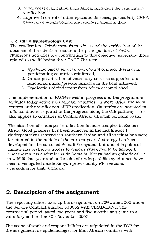- 3. Rinderpest eradication from Africa, including the eradication verification.
- 4. Improved control of other epizootic diseases, particularly CBPP, based on epidemiological and socio-economical data.

### **1.2. PACE Epidemiology Unit**

The eradication of rinderpest from Africa and the verification of the absence of the infection, remains the principal task of PACE. Numerous activities are contributing to this objective, especially those related to the following three PACE Thrusts:

- 1. Epidemiological services and control of major diseases in participating countries reinforced,
- 2. Grater privatization of veterinary services supported and functional public/private linkages in the field achieved,
- 3. Eradication of rinderpest from Africa accomplished.

The implementation of PACE is well in progress and the programme includes today actively 30 African countries. In West Africa, the work centres at the verification of RP eradication. Countries are assisted to fulfil conditions required in the progress along the OIE pathway. This also applies to countries in Central Africa, although on zonal basis\_

The situation of rinderpest eradication is more complex in Eastern Africa. Good progress has been achieved in the last lineage I rinderpest virus reservoir in southern Sudan and allvaccinations were terminated in the middle of the current year. A strategy has been developed for the so-called Somali Ecosystem but unstable political climate has restricted access to regions suspected to be lineage II rinderpest virus endemic inside Somalia. Kenya had an episode of RP in wildlife last year and outbreaks of rinderpest-like syndromes have been investigated inside Kenyan provisionally RP free zone, demanding for high vigilance.

# **2. Description of the assignment**

The reporting officer took up his assignment on 20th June 2000 under the Service Contract number 613062 with CIRAD-EMVT. The contractual period lasted two years and five months and came to a voluntary end on the 30<sup>th</sup> November 2002.

The scope of work and responsibilities are stipulated in the TOR for the assignment as epidemiologist for East African countries with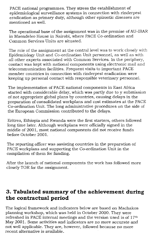PACE national programmes. They stress the establishment of epidemiological surveillance systems in connection with rinderpest eradication as primary duty, although other epizootic diseases are mentioned as well.

The operational base of the assignment was in the premise of AU-IBAR in Maendeleo House in Nairobi, where PACE Co-ordination and Common Services Units are situated.

The role of the assignment at the central level was to work closely with Epidemiology Unit and Co-ordination Unit personnel, as well as with allother experts associated with Common Services. In the periphery, contact was kept with national components using electronic mailand telecommunication facilities. Frequent visits to important PACE member countries in connection with rinderpest eradication were keeping up personal contact with responsible veterinary personnel.

The implementation of PACE national components in East Africa started with considerable delay, which was partly due to y submission of not appropriate global plans by countries, causing delays in the preparation of consolidated workplans and cost estimates at the PACE Co-ordination Unit. The long administrative procedures on the side of the European Commission contributed to the delays.

Eritrea, Ethiopia and Rwanda were the first starters, others followed long time later. Although workplans were officially signed in the middle of 2001, most national components did not receive funds before October 2001.

The reporting officer was assisting countries in the preparation of PACE workplans and supporting the Co-ordination Unit in the compilation of them for funding.

After the launch of national components the work has followed more closely TOR for the assignment.

# **3. Tabulated summary of the achievement during the contractual period**

The logical framework and indicators below are based on Machakos planning workshop, which was held in October 2000. They were refreshed in PACE internal meetings and the version used is of 17th May 2001. Some activities and indicators are no more accurate and not well applicable. They are, however, followed because no more recent alternative is available.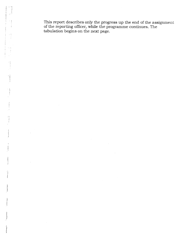This report describes only the progress up the end of the assignment of the reporting officer, while the programme continues. The tabulation begins on the next page.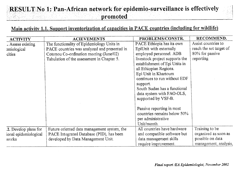# **RESULT No 1: Pan-African network for epidemio-surveillance is effectively promoted**



# Main activity 1.1. Support inventorization of capacities in PACE countries (including for wildlife),

| <b>ACTIVITY</b>       | <b>ACIEVEMENTS</b>                           | PROBLEMS/CONSTR.               | RECOMMEND.              |
|-----------------------|----------------------------------------------|--------------------------------|-------------------------|
| . Assess existing     | The functionality of Epidemiology Units in   | PACE Ethiopia has its own      | Assist countries to     |
| emiological           | PACE countries was analyzed and presented in | EpiUnit with externally        | reach the set target of |
| cities                | Cotonou Co-ordination meeting (June/02)      | employed personnel. ADB        | 80% for passive         |
|                       | Tabulation of the assessment in Chapter 5.   | livestock project supports the | reporting               |
|                       |                                              | establishment of Epi Units in  |                         |
|                       |                                              | all Ethiopian Regions.         |                         |
|                       |                                              | Epi Unit in Khartoum           |                         |
|                       |                                              | continues to run without EDF   |                         |
|                       |                                              | support.                       |                         |
|                       |                                              | South Sudan has a functional   |                         |
|                       |                                              | data system with FAO-OLS,      |                         |
|                       |                                              | supported by VSF-B.            |                         |
|                       |                                              | Passive reporting in most      |                         |
|                       |                                              | countries remains below 50%    |                         |
|                       |                                              | per administrative             |                         |
|                       |                                              | Unit/month.                    |                         |
| .2. Develop plans for | Future oriented data management system, the  | All countries have hardware    | Training to be          |
| ional epidemiological | PACE Integrated Database (PID), has been     | and compatible software but    | organized as soon as    |
| works                 | developed by Data Management Unit.           | data management skills         | possible on data        |
|                       |                                              | require improvement.           | management, analysis,   |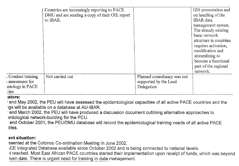|                                                                 | Countries are increasingly reporting to PACE<br>DMU and are sending a copy of their OIE report<br>to IBAR. |                                                                    | GIS presentation and<br>on handling of the<br>IBAR data                                                                                                                                                         |
|-----------------------------------------------------------------|------------------------------------------------------------------------------------------------------------|--------------------------------------------------------------------|-----------------------------------------------------------------------------------------------------------------------------------------------------------------------------------------------------------------|
|                                                                 |                                                                                                            |                                                                    | management system.<br>The already existing<br>basic network<br>structure in countries<br>requires activation,<br>modification and<br>streamlining to<br>become a functional<br>part of the regional<br>network. |
| . Conduct training<br>assessment for<br>miology in PACE<br>ries | Not carried out                                                                                            | Planned consultancy was not<br>supported by the Lead<br>Delegation |                                                                                                                                                                                                                 |

#### ators:

end May 2002, the PEU will have assessed the epidemiological capacities of all active PACE countries and the .igs will be available on a database at AU-IBAR.

end March 2002, the PEU will have produced a discussion document outlining alternative approaches to )miological network-building for the PCU.

end October 2001, the PEU/DMU database will record the epidemiological training needs of all active PACE tries.

#### ant situation:

asented at the Cotonou Co-ordination Meeting in June 2002.

CE Integrated Database available since October 2002 and is being connected to national levels.

4 reached, Most East African PACE countries started their implementation upon receipt of funds, which was beyond iven date. There is urgent need for training in data management.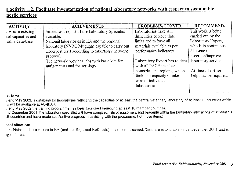# m activity 1.2. Facilitate inventorization of national laboratory networks with respect to sustainable nostic services

| <b>ACTIVITY</b>                                             | <b>ACIEVEMENTS</b>                                                                                                                                            | PROBLEMS/CONSTR.                                                                                             | RECOMMEND.                                                                             |
|-------------------------------------------------------------|---------------------------------------------------------------------------------------------------------------------------------------------------------------|--------------------------------------------------------------------------------------------------------------|----------------------------------------------------------------------------------------|
| . Assess existing<br>nal capacities and<br>lish a data-base | Assessment report of the Laboratory Specialist<br>available.<br>National laboratories in EA and the regional<br>laboratory (NVRC Muguga) capable to carry out | Laboratories have still<br>difficulties to keep time<br>limits and to have all<br>materials available as per | This work is being<br>carried out by the<br>Laboratory Expert,<br>who is in continuous |
|                                                             | rinderpest tests according to laboratory network<br>protocol.<br>The network provides labs with basic kits for<br>antigen tests and for serology.             | performance indicators.<br>Laboratory Expert has to deal<br>with all PACE member                             | dialogue to<br>ascertain/improve<br>laboratory service.                                |
|                                                             |                                                                                                                                                               | countries and regions, which<br>limits his capacity to take<br>care of individual<br>laboratories.           | At times short-term<br>help may be required.                                           |

#### cators:

and May 2002, a database for laboratories reflecting the capacities of at least the central veterinary laboratory of at least 10 countries within E will be available at AU-IBAR.

/ end May 2002 the training programme has been launched benefiting at least 10 member countries.

nd December 2001, the laboratory specialist will have compiled lists of equipment and reagents within the budgetary allocations of at least 10 countries and have made substantive progress in assisting with the procurement of those items:

#### sent situation:

, 3. National laboratories in EA (and the Regional Ref. Lab.) have been assessed.Database is available since December 2001 and is 2updated.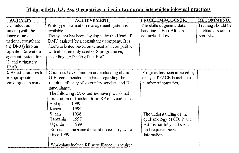# Main activity 1.3. Assist countries to institute appropriate epidemiological practices

| <b>ACTIVITY</b>        | <b>ACHIEVEMENT</b>                              | PROBLEMS/COCSTR.              | RECOMMEND.          |
|------------------------|-------------------------------------------------|-------------------------------|---------------------|
| 1. Conduct an          | Prototype information management system is      | The skills of general data    | Training should be  |
| ssment (with the       | available.                                      | handling in East African      | facilitated soonest |
| stance of an           | The system has been developed by the Head of    | countries is low.             | possible.           |
| mational consultant    | DMU assisted by a consultancy company. It is    |                               |                     |
| the DMU) into an       | future oriented based on Oracel and compatible  |                               |                     |
| opriate information    | with all commonly used GIS programmes,          |                               |                     |
| agement system for     | including TAD-info of the FAO.                  |                               |                     |
| E and ultimately       |                                                 |                               |                     |
| <b>IBAR</b>            |                                                 |                               |                     |
| 2. Assist countries to | Countries have common understanding about       | Progress has been affected by |                     |
| <i>st</i> appropriate  | OIE recommended standards regarding the         | delays of PACE launch in a    |                     |
| emiological norms      | required efficacy of veterinary services and RP | number of countries.          |                     |
|                        | surveillance.                                   |                               |                     |
|                        | The following EA countries have provisional     |                               |                     |
|                        | declaration of freedom from RP on zonal basis:  |                               |                     |
|                        | Ethiopia<br>1999                                |                               |                     |
|                        | 1999<br>Kenya                                   |                               |                     |
|                        | Sudan<br>1996                                   | The understanding of the      |                     |
|                        | Tanzania<br>1997                                | epidemiology of CBPP and      |                     |
|                        | 1999<br>Uganda                                  | ASF is not fully sufficient   |                     |
|                        | Eritrea has the same declaration country-wide   | and requires more             |                     |
|                        | since 1999.                                     | interaction.                  |                     |
|                        | Workplans include RP surveillance in required   |                               |                     |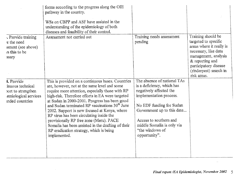|                                                                                                | forms according to the progress along the OIE<br>pathway in the country.<br>WSs on CBPP and ASF have assisted in the<br>understanding of the epidemiology of both<br>diseases and feasibility of their control.                                                                                                                                                                                                                                                                                                                                                                  |                                                                                                                                                                                                                                                                       |                                                                                                                                                                                                               |
|------------------------------------------------------------------------------------------------|----------------------------------------------------------------------------------------------------------------------------------------------------------------------------------------------------------------------------------------------------------------------------------------------------------------------------------------------------------------------------------------------------------------------------------------------------------------------------------------------------------------------------------------------------------------------------------|-----------------------------------------------------------------------------------------------------------------------------------------------------------------------------------------------------------------------------------------------------------------------|---------------------------------------------------------------------------------------------------------------------------------------------------------------------------------------------------------------|
| . Provide training<br>e the need<br>sment (see above)<br>vs this to be<br>ssary                | Assessment not carried out                                                                                                                                                                                                                                                                                                                                                                                                                                                                                                                                                       | Training needs assessment<br>pending                                                                                                                                                                                                                                  | Training should be<br>targeted to specific<br>areas where it really is<br>necessary, like data<br>management, analysis<br>$&$ reporting and<br>participatory disease<br>(rinderpest) search in<br>risk areas. |
| 4. Provide<br>inuous technical<br>ort to strengthen<br>emiological services<br>inded countries | This is provided on a continuous bases. Countries<br>are, however, not at the same level and some<br>require more attention, especially those with RP<br>high-risk. Therefore efforts in EA were targeted<br>at Sudan in 2000-2001. Progress has been good<br>and Sudan terminated RP vaccinations 30 <sup>th</sup> June<br>2002. Support is now focused at Kenya, where<br>RP virus has been circulating inside the<br>provisionally RP free zone (Meru). PACE<br>Somalia has been assisted in the drafting of their<br>RP eradication strategy, which is being<br>implemented. | The absence of national TAs<br>is a deficiency, which has<br>negatively affected the<br>implementation process.<br>No EDF funding for Sudan<br>Government up to this date<br>Access to southern and<br>middle Somalia is only via<br>"the windows of<br>opportunity". |                                                                                                                                                                                                               |

 $\sim 10^{11}$  km  $^{-1}$ 

 $\sim 100$  km s  $^{-1}$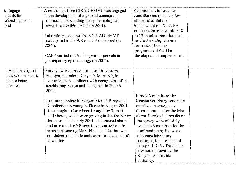| i. Engage<br>ultants for<br>lalized inputs as<br>íred                         | A consultant from CIRAD-EMVT was engaged<br>in the development of a general concept and<br>common understanding for epidemiological<br>surveillance within PACE (in 2001).<br>Laboratory specialist From CIRAD-EMVT<br>participated in the WS on mild rinderpest (in<br>$2002$ ).<br>CAPE carried out training with practicals in<br>participatory epidemiology (in 2002).                                                                                                                                                                                                                                                      | Requirement for outside<br>consultancies is usually low<br>at the initial state of<br>implementation. Most EA<br>countries have now, after 10<br>to 12 months from the start,<br>reached a state, where a<br>formalized training<br>programme should be<br>developed and implemented.                                                                                                          |  |
|-------------------------------------------------------------------------------|---------------------------------------------------------------------------------------------------------------------------------------------------------------------------------------------------------------------------------------------------------------------------------------------------------------------------------------------------------------------------------------------------------------------------------------------------------------------------------------------------------------------------------------------------------------------------------------------------------------------------------|------------------------------------------------------------------------------------------------------------------------------------------------------------------------------------------------------------------------------------------------------------------------------------------------------------------------------------------------------------------------------------------------|--|
| . Epidemiological<br>ices with respect to<br>ife are being<br><i>a</i> mented | Surveys were carried out in south-western<br>Ethiopia, in eastern Kenya, in Meru NP, in<br>Tanzanian NPs confluent with ecosystems of the<br>neighboring Kenya and in Uganda in 2000 to<br>2002.<br>Routine sampling in Kenyan Meru NP revealed<br>RP infection in young buffaloes in August 2001.<br>It is thought to have been brought by Somali<br>cattle herds, which were grazing inside the NP by<br>the thousands in early 2001. This caused alarm<br>and an extensive RP search was carried out in<br>areas surrounding Meru NP. The infection was<br>not detected in cattle and seems to have died off<br>in wildlife. | It took 3 months to the<br>Kenyan veterinary service to<br>mobilize an emergency<br>disease search after the Meru<br>alarm. Serological results of<br>the survey were officially<br>available 6 months after the<br>confirmation by the world<br>reference laboratory<br>indicating the presence of<br>lineage II RPV. This shows<br>low commitment by the<br>Kenyan responsible<br>authority. |  |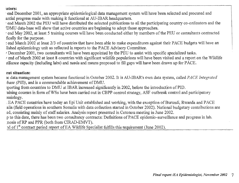:ators:

end December 2001, an appropriate epidemiological data management system will have been selected and procured and aritial progress made with making it functional at AU-IBAR headquarters.

end March 2002 the PEU will have distributed the selected publications to all the participating country co-ordinators and the 'DMU data-base will show that active countries are beginning to adopt those approaches.

end May 2002, at least 5 training courses will have been conducted either by members of the PEU or consultants contracted fically for the purpose.

end March 2002 at least 2/3 of countries that have been able to make expenditures against their PACE budgets will have an lished epidemiology unit as reflected in reports to the PACE Advisory Committee.

*<sup>r</sup>*December 2001, two consultants will have been appointed by the PEU to assist with specific specialized tasks.

*<sup>r</sup>*end of March 2002 at least 8 countries with significant wildlife populations will have been visited and a report on the Wildlife eillance capacity (including labs) and needs and means proposed to fill gaps will have been drawn up for PACE.

#### ent situation:

ie data management system became functional in October 2002. It is AU-IBAR's own data system, called *PACE Integrated 'base (PID),* and is a commendable achievement of DMU.

sporting from countries to DMU at IBAR increased significantly in 2002, before the introduction of PID.

'aining courses in form of WSs have been carried out in CBPP control strategy, ASF outbreak control and participatory emiology.

EA PACE countries have today an Epi Unit established and working, with the exception of Burundi, Rwanda and PACE alia (field operations in southern Somalia with data collection started in October 2002). National budgetary contributions are ed, consisting mainly of staff salaries. Analysis report presented in Cotonou meeting in June 2002.

p to this date, there has been two consultancy contracts: Definitions of PACE epidemio-surveillance and progress in lab. nosis of RP and PPR (both from CIRAD-EMVT).

nd of 1<sup>st</sup> contract period report of EA Wildlife Specialist fulfills this requirement (June 2002).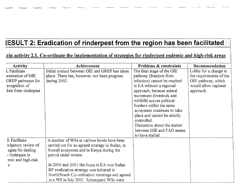# **tESULT 2: Eradication of rinderpest from the region has been facilitated**

المستحدث المستحدث أتستعد المستحدث المستحدث

## ain activity 2.1. Co-ordinate the implementation of strategies for rinderpest endemic and high-risk areas

| <b>Activity</b>     | Achievement                                     | <b>Problems &amp; constraints</b> | Recommendation          |
|---------------------|-------------------------------------------------|-----------------------------------|-------------------------|
| l. Facilitate       | Initial contact between OIE and GREP has taken  | The final stage of the OIE        | Lobby for a change in   |
| ionization of OIE   | place. There has, however, not been progress    | pathway (freedom from             | the requirements of the |
| GREP pathways for   | during 2002.                                    | infection) cannot be reached      | OIE pathway, which      |
| ecognition of       |                                                 | in EA without a regional          | would allow regional    |
| fom from rinderpest |                                                 | approach, because animal          | approach.               |
|                     |                                                 | movement (livestock and           |                         |
|                     |                                                 | wildlife) across political        |                         |
|                     |                                                 | borders within the same           |                         |
|                     |                                                 | ecosystem continues to take       |                         |
|                     |                                                 | place and cannot be strictly      |                         |
|                     |                                                 | controlled.                       |                         |
|                     |                                                 | Discussion about the matter       |                         |
|                     |                                                 | between OIE and FAO seems         |                         |
|                     |                                                 | to have stalled.                  |                         |
| 2. Facilitate       | A number of WSs at various levels have been     |                                   |                         |
| icipatory review of | carried out for an agreed strategy in Sudan, in |                                   |                         |
| egies for dealing   | Somali ecosystem and in Kenya during the        |                                   |                         |
| underpest in        | period under review.                            |                                   |                         |
| ernic and high-risk |                                                 |                                   |                         |
| S.                  | In 2000 and 2001 the focus in EA was Sudan.     |                                   |                         |
|                     | RP eradication strategy was initiated in        |                                   |                         |
|                     | North/South Co-ordination meetings and agreed   |                                   |                         |
|                     | in a WS in July 2001. Subsequent WSs were       |                                   |                         |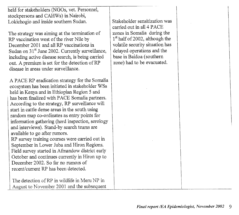held for stakeholders (NGOs, vet. Personnel, stockpersons and CAHWs) in Nairobi, Lokichogio and inside southern Sudan.

The strategy was aiming at the termination of RP vaccination west of the river Nile by December 2001 and all RP vaccinations in Sudan on  $31<sup>st</sup>$  June 2002. Currently surveillance, including active disease search, is being carried out. A premium is set for the detection of RP disease in areas under surveillance.

A PACE RP eradication strategy for the Somalia ecosystem has been initiated in stakeholder WSs held in Kenya and in Ethiopian Region 5 and has been finalized with PACE Somalia partners. According to the strategy, RP surveillance will start in cattle dense areas in the south using random map co-ordinates as entry points for information gathering (herd inspection, serology and interviews). Stand-by search teams are available to go after rumors.

RP survey training courses were carried out in September in Lower Juba and Hiron Regions. Field survey started in Afmandow district early October and continues currently in Hiron up to December 2002. So far no rumors of recent/current RP has been detected.

The detection of RP in wildlife in Meru NP in August to November 2001 and the subsequent Stakeholder sensitization was carried out in all 4 PACE zones in Somalia during the  $1<sup>st</sup>$  half of 2002, although the volatile security situation has delayed operations and the base in Baidoa (southern zone) had to be evacuated.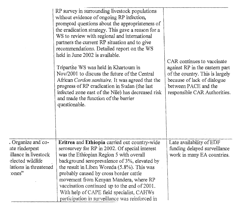|                                                                                                                     | RP survey in surrounding livestock populations<br>without evidence of ongoing RP infection,<br>prompted questions about the appropriateness of<br>the eradication strategy. This gave a reason for a<br>WS to review with regional and international<br>partners the current RP situation and to give<br>recommendations. Detailed report on the WS<br>held in June 2002 is available.<br>Tripartite WS was held in Khartoum in<br>Nov/2001 to discuss the future of the Central<br>African Cordon sanitaire. It was agreed that the<br>progress of RP eradication in Sudan (the last<br>infected zone east of the Nile) has decreased risk<br>and made the function of the barrier<br>questionable. | CAR continues to vaccinate<br>against RP in the eastern part<br>of the country. This is largely<br>because of lack of dialogue<br>between PACE and the<br>responsible CAR Authorities. |
|---------------------------------------------------------------------------------------------------------------------|------------------------------------------------------------------------------------------------------------------------------------------------------------------------------------------------------------------------------------------------------------------------------------------------------------------------------------------------------------------------------------------------------------------------------------------------------------------------------------------------------------------------------------------------------------------------------------------------------------------------------------------------------------------------------------------------------|----------------------------------------------------------------------------------------------------------------------------------------------------------------------------------------|
| . Organize and co-<br>ate rinderpest<br>illance in livestock<br>elected wildlife<br>lations in threatened<br>"ones" | Eritrea and Ethiopia carried out country-wide<br>serosurvey for RP in 2002. Of special interest<br>was the Ethiopian Region 5 with overall<br>background seroprevalence of 3%, elevated by<br>the result in Liben Woreda (5.8%). This was<br>probably caused by cross border cattle<br>movement from Kenyan Mandera, where RP<br>vaccination continued up to the end of 2001.<br>With help of CAPE field specialist, CAHWs<br>participation in surveillance was reinforced in                                                                                                                                                                                                                        | Late availability of EDF<br>funding delayed surveillance<br>work in many EA countries.                                                                                                 |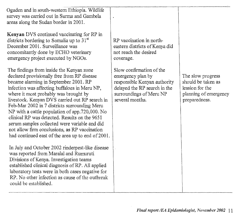| Ogaden and in south-western Ethiopia. Wildlife<br>survey was carried out in Surma and Gambela<br>areas along the Sudan border in 2001.                                                                                                                                                                                                                                                                                                                                                                                                                                                 |                                                                                                                                                             |                                                                                                      |
|----------------------------------------------------------------------------------------------------------------------------------------------------------------------------------------------------------------------------------------------------------------------------------------------------------------------------------------------------------------------------------------------------------------------------------------------------------------------------------------------------------------------------------------------------------------------------------------|-------------------------------------------------------------------------------------------------------------------------------------------------------------|------------------------------------------------------------------------------------------------------|
| <b>Kenyan</b> DVS continued vaccinating for RP in<br>districts bordering to Somalia up to $31st$<br>December 2001. Surveillance was<br>concomitantly done by ECHO veterinary<br>emergency project executed by NGOs.                                                                                                                                                                                                                                                                                                                                                                    | RP vaccination in north-<br>eastern districts of Kenya did<br>not reach the desired<br>coverage.                                                            |                                                                                                      |
| The findings from inside the Kenyan zone<br>declared provisionally free from RP disease<br>became alarming in September 2001. RP<br>infection was affecting buffaloes in Meru NP,<br>where it most probably was brought by<br>livestock. Kenyan DVS carried out RP search in<br>Feb-Mar 2002 in 7 districts surrounding Meru<br>NP with a cattle population of app.720,000. No<br>clinical RP was detected. Results on the 9651<br>serum samples collected were variable and did<br>not allow firm conclusions, as RP vaccination<br>had continued east of the area up to end of 2001. | Slow confirmation of the<br>emergency plan by<br>responsible Kenyan authority<br>delayed the RP search in the<br>surroundings of Meru NP<br>several months. | The slow progress<br>should be taken as<br>lession for the<br>planning of emergency<br>preparedness. |
| In July and October 2002 rinderpest-like disease<br>was reported from Maralal and Rumuruti<br>Divisions of Kenya. Investigation teams<br>established clinical diagnosis of RP. All applied<br>laboratory tests were in both cases negative for<br>RP. No other infection as cause of the outbreak<br>could be established.                                                                                                                                                                                                                                                             |                                                                                                                                                             |                                                                                                      |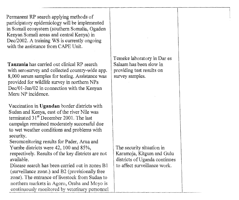Permanent RP search applying methods of participatory epidemiology will be implemented in Somali ecosystem (southern Somalia, Ogaden Kenyan Somali areas and central Kenya) in Dec/2002. A training WS is currently ongoing with the assistance from CAPE Unit.

Tanzania has carried out clinical RP search with serosurvey and collected country-wide app. 8,000 serum samples for testing. Assistance was provided for wildlife survey in northern NPs Dec/01-Jan/02 in connection with the Kenyan Meru NP incidence.

Vaccination in Ugandan border districts with Sudan and Kenya, east of the river Nile was terminated  $31<sup>st</sup>$  December 2001. The last campaign remained moderately successful due to wet weather conditions and problems with security.

Seromonitoring results for Pader, Arua and Yumbe districts were 42, 100 and 85%, respectively. Results of the key districts are not available.

Disease search has been carried out in zones B1 (surveillance zone.) and B2 (provisionally free zone). The entrance of livestock from Sudan to northern markets in Agoro, Oraba and Moyo is continuously monitored by veterinary personnel Temeke laboratory in Dar es Salaam has been slow in providing test results on survey samples.

The security situation in Karamoja, Kitgum and Gulu districts of Uganda continues to affect surveillance work.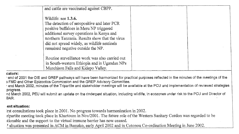| and cattle are vaccinated against CBPP.                                                                                                                                                                                                                                                            |
|----------------------------------------------------------------------------------------------------------------------------------------------------------------------------------------------------------------------------------------------------------------------------------------------------|
| Wildlife: see 1.3.6.<br>The detection of seropositive and later PCR<br>positive buffaloes in Meru NP triggered<br>additional survey operations in Kenya and<br>northern Tanzania. Results show that the virus<br>did not spread widely, as wildlife sentinels<br>remained negative outside the NP. |
| Routine surveillance work was also carried out<br>in South-western Ethiopia and in Ugandan NPs<br>Murchison Falls and Kidepo Valley.                                                                                                                                                               |

#### cators:

end of 2001 the OIE and GREP pathways will have been harmonized for practical purposes reflected in the minutes of the meetings of the <sup>5</sup>FMD and Other Epizootics Commission and the GREP Advisory Committee,

end March 2002, minutes of the Tripartite and stakeholder meetings will be available at the PCU and implementation of reviewed strategies progress.

nd March 2002, PEU will submit an update on the rinderpest situation, including wildlife, in ecozones under risk to the PCU and Director of BAR.

#### **,ant situation):**

first consultations took place in 2001. No progress towards harmonization in 2002.

ripartite meeting took place in Khartoum in Nov/2001. The future role of the Western Sanitary Cordon was regarded to be ;tionable and the support to the virtual immune barrier has now ceased.

3situation was presented in ACM in Bamako, early April 2002 and in Cotonou Co-ordination Meeting in June 2002.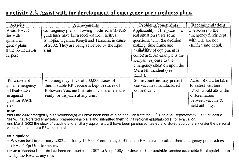# n activity 2.2. Assist with the development of emergency preparedness plans

| <b>Activity</b>                                                                               | Achievements                                                                                                                                                                                          | Problems/constraints                                                                                                                                                                                                                                                                      | Recommendations                                                                                                                   |
|-----------------------------------------------------------------------------------------------|-------------------------------------------------------------------------------------------------------------------------------------------------------------------------------------------------------|-------------------------------------------------------------------------------------------------------------------------------------------------------------------------------------------------------------------------------------------------------------------------------------------|-----------------------------------------------------------------------------------------------------------------------------------|
| <b>Assist PACE</b><br>ries with<br>pment of<br>igency plans<br>st the re-incursion<br>derpest | Contingency plans following modified EMPRES<br>guidelines have been received from Eritrea,<br>Ethiopia, Uganda, Kenya and Tanzania in cause<br>of 2002. They are being reviewed by the Epid.<br>Unit. | Applicability of the plans in a<br>real situation raises some<br>questions, what the decision<br>making, time frame and<br>availability of equipment is<br>concerned. An example is the<br>Kenyan response to the<br>emergency situation upon the<br>Meru NP incident (see<br>$2.1.3.$ ). | The access to the<br>emergency funds kept<br>with OIE are not<br>clarified into detail.                                           |
| Purchase and<br>ain an emergency<br>of heat-stable<br>the against<br>pest for PACE<br>ries    | An emergency stock of 500,000 doses of<br>thermostable RP vaccine is kept in stores of<br>Botswana Vaccine Institute in Gabarone and is<br>ready for dispatch at any time.                            | Some countries may prefer to<br>use vaccines manufactured<br>domestically.                                                                                                                                                                                                                | Action should be taken<br>to assess vaccines,<br>which would allow the<br>differentiation<br>between vaccine &<br>field antibody. |

#### ators:

end May 2002 emergency plan workshop(s) will have been held with contribution from the OIE Regional Representative, and at least 5 ries will have drafted emergency preparedness plans and submitted them to the regional epidemiologist for evaluation. end March 2002 the stock of vaccine and ancillary equipment will have been purchased, tested and stored appropriately under the personal vision of one or more PEU personnel.

#### **tnt situation:**

WS was held in February 2002 and today 11 PACE countries, 5 of them in EA, have submitted their emergency preparedness to PACE Epi Unit for review.

itswana Vaccine Institute has been contracted in 2002 to keep 500,000 doses of thermostable vaccine accessible fbr dispatch upon der by the RAO at any time.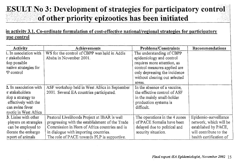# **ESULT No**  3: **Development of strategies for participatory control of other priority epizootics has been initiated**

### in activity 3.1. Co-ordinate formulation of cost-effective national/regional strategies for participatory rase control

| <b>Activity</b>        | Achievements                                    | Problems/Constraints          | Recommendations         |
|------------------------|-------------------------------------------------|-------------------------------|-------------------------|
| 1. In association with | WS for the control of CBPP was held in Addis    | The understanding of CBPP     |                         |
| r stakeholders         | Ababa in November 2001.                         | epidemiology and control      |                         |
| dop possible           |                                                 | requires more attention, as   |                         |
| native strategies for  |                                                 | control measures applied are  |                         |
| P control              |                                                 | only depressing the incidence |                         |
|                        |                                                 | without clearing out selected |                         |
|                        |                                                 | areas.                        |                         |
| 2. In association with | ASF workshop held in West Africa in September   | In the absence of a vaccine,  |                         |
| r stakeholders         | 2001. Several EA countries participated.        | the effective control of ASF  |                         |
| elop a strategy to     |                                                 | in the mainly small-holder    |                         |
| effectively with the   |                                                 | production systems is         |                         |
| can swine fever        |                                                 | difficult.                    |                         |
| zootic in West Africa  |                                                 |                               |                         |
| 3. Liaise with other   | Pastoral Livelihoods Project at IBAR is well    | The operations in the 4 zones | Epidemio-surveillance   |
| players on strategies  | progressing with the establishment of the Trade | of PACE Somalia have been     | network, which will be  |
| can be employed to     | Commission in Horn of Africa countries and is   | delayed due to political and  | established by PACE,    |
| liorate the embargo    | in dialogue with importing countries.           | security situation.           | will contribute to the  |
| export of animals      | The role of PACE towards PLP is supportive.     |                               | health certification of |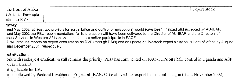| the Horn of Africa  |  | ' export stock. |
|---------------------|--|-----------------|
| : Arabian Peninsula |  |                 |
| ation to RVF        |  |                 |

#### ators:

end May 2002, at least two projects for surveillance and control of epizootic(s) would have been finalized and accepted by AU-IBAR end May 2002 the PEU recommendations for future action will have been delivered to the Director of AU-IBAR and the Directors of inary Services in Western African countries that are active participants in PACE.

U will produce reports on expert consultation on RVF (through FAO) and an update on livestock export situation In Horn of Africa by August and December 2001, respectively.

#### wit situation:

ark with rinderpest eradication still remains the priority. PEU has commented on FAO-TCPs on FMD control in Uganda and ASF of in Tanzania.

yt applicable for EA.

Lis is followed by Pastoral Livelihoods Project at IBAR. Official livestock export ban is continuing in (stand November 2002).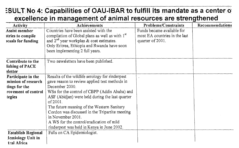# **ESULT No 4: Capabilities of OAU-IBAR to fulfill its mandate as a center of excellence in management of animal resources are strengthened**

| <b>Activity</b>                                 | Achievements                                                | <b>Problems/Constraints</b>   | Recommendations |
|-------------------------------------------------|-------------------------------------------------------------|-------------------------------|-----------------|
| Assist member                                   | Countries have been assisted with the                       | Funds became available for    |                 |
| itries to compile                               | compilation of Global plans as well as with 1 <sup>st</sup> | most EA countries in the last |                 |
| posals for funding                              | and $2^{nd}$ year workplan & cost estimates.                | quarter of 2001.              |                 |
|                                                 | Only Eritrea, Ethiopia and Rwanda have soon                 |                               |                 |
|                                                 | been implementing 2 full years.                             |                               |                 |
| Contribute to the<br>lishing of PACE<br>sletter | Two newsletters have been published.                        |                               |                 |
| Participate in the                              | Results of the wildlife serology for rinderpest             |                               |                 |
| mission of research                             | gave reason to review applied test methods in               |                               |                 |
| tings for the                                   | December 2000.                                              |                               |                 |
| rovement of control                             | WSs for the control of CBPP (Addis Ababa) and               |                               |                 |
| tegies                                          | ASF (Abidjan) were held during the last quarter             |                               |                 |
|                                                 | of $2001$ .                                                 |                               |                 |
|                                                 | The future meaning of the Western Sanitary                  |                               |                 |
|                                                 | Cordon was discussed in the Tripartite meeting              |                               |                 |
|                                                 | in November 2001.                                           |                               |                 |
|                                                 | A WS for the control/eradication of mild                    |                               |                 |
|                                                 | rinderpest was held in Kenya in June 2002.                  |                               |                 |
| <b>Establish Regional</b>                       | Falls on CA Epidemiologist.                                 |                               |                 |
| demiology Unit in                               |                                                             |                               |                 |
| tral Africa                                     |                                                             |                               |                 |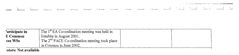The committee of the committee of the committee of the Control of the Committee of the committee of the Constitution of the Committee of the Constitution of the Committee of the Constitution of the Committee of the Committ

|  |  |  |  | ال المادرين في المسارة في المراري المسارة المستقاد المشارة المستقاد المستقاد المستقاد المسارة المستقاد المستقاد المستقادة المستقادة المستقادة المستقادة المستقادة |  |  |  |  |
|--|--|--|--|-------------------------------------------------------------------------------------------------------------------------------------------------------------------|--|--|--|--|
|  |  |  |  |                                                                                                                                                                   |  |  |  |  |

| 'articipate in       | The $1st$ EA Co-ordination meeting was held in  |
|----------------------|-------------------------------------------------|
| E Common             | Entebbe in August 2001.                         |
| ces WSs              | The $2nd$ PACE Co-ordination meeting took place |
|                      | in Cotonou in June 2002.                        |
| ators: Not available |                                                 |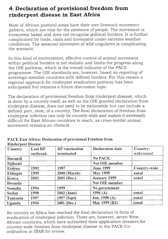# **4. Declaration of provisional freedom from rinderpest disease in East Africa**

Most of African pastoral areas have their own livestock movement pattern, which are vital for the existence of people. The movement is ecosystem based and does not recognise political borders. It is further complicated by trade, raids and movement under extreme weather conditions. The seasonal movement of wild ungulates is complicating the scenario.

In this kind of environment, effective control of animal movement within political borders is not realistic and limits the progress along the OIE pathway, which is the overall indicator of the PACE programme. The OIE standards are, however, based on reporting of sovereign member countries with defined borders. For this reason a regional approach for rinderpest eradication pathway has been anticipated but remains a future discussion topic.

The declaration of provisional freedom from rinderpest disease, which is done by a country itself, as well as the OIE granted declaration from rinderpest disease, does not need to be nationwide but can include a defined part, zone, of a country. The final declaration of freedom from rinderpest infection can only be country-wide and makes it extremely difficult for East African countries to reach, as cross-border animal movement remains an obstacle.

| <b>PACE East Africa: Declaration of provisional Freedom from</b> |  |  |
|------------------------------------------------------------------|--|--|
| <b>Rinderpest Disease</b>                                        |  |  |

| Country         | Last RP<br>outbreak | <b>RP</b> vaccination<br>terminated | Declaration date | Country-<br>wide/zonal |
|-----------------|---------------------|-------------------------------------|------------------|------------------------|
| <b>Burundi</b>  |                     |                                     | No PACE          |                        |
| <b>D</b> ibouti |                     |                                     | Not OIE member   |                        |
| Eritrea         | 1992                | 1997                                | <b>June 1999</b> | Country-wide           |
| Ethiopia        | 1995                | 2000 (March)                        | <b>May 1999</b>  | zonal                  |
| Kenya           | 2001                | 2001 (Dec.)                         | January 1999     | zonal                  |
| Rwanda          |                     |                                     | Not OIE member   |                        |
| Somalia         | 1994                | 1999                                | No government    |                        |
| Sudan           | 1998                | 2002 (June)                         | 1996 $(A)$       | zonal                  |
| Tanzania        | 1997                | 1997 (Sept)                         | Jan. 1998 (A)    | zonal                  |
| Uganda          | 1994                | 2001 (Dec.)                         | May 1999 (B2)    | zonal                  |

No country in Africa has reached the final declaration in form of eradication of rinderpest infection. There are, however, seven West African countries, which have submitted their application dossiers for country-wide freedom from rinderpest disease to the PACE Coordination at IBAR for review.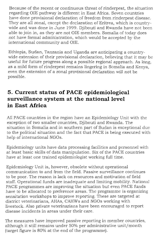Because of the recent or continuous threat of rinderpest, the situation regarding OIE pathway is different in East Africa. Seven countries have done provisional declaration of freedom from rinderpest disease. They are all zonal, except the declaration of Eritrea, which is countrywide and was done in June 1999. Diibouti and Rwanda have not been able to join in, as they are not OIE members. Somalia of today does not have formal administration, which would be accepted by the international community and OIE.

Ethiopia, Sudan, Tanzania and Uganda are anticipating a countrywide extension of their provisional declaration, believing that it may be useful for future progress along a possible regional approach. As long, as a mild form of rinderpest remains lingering in Somalia and Kenya, even the extension of a zonal provisional declaration will not be possible.

# **5. Current status of PACE epidemiological surveillance system at the national level in East Africa**

All PACE countries in the region have an Epidemiology Unit with the exception of two smaller countries, Djibouti and Rwanda. The situation in Somalia and in southern part of Sudan is exceptional due to the political situation and the fact that PACE is being executed with help of international NGOs.

Epidemiology units have data processing facilities and personnel with at least basic skills of data manipulation. Six of the PACE countries have at least one trained epidemiologist working full time.

Epidemiology Unit is, however, obsolete without operational communication to and from the field. Passive surveillance continues to be poor. The reason is lack on resources and motivation of field staff. Operational funds are inadequate and limiting mobility. National PACE programmes are improving the situation but even PACE funds have to be allocated to preference areas. The programme is organizing sensitation workshops to improve reporting. These are targeted at district veterinarians, AHAs, CAHWs and NGOs working with livestock. Also private veterinarians have been encouraged to report disease incidents in areas under their care.

The measures have improved passive reporting in member countries, although it still remains under 50% per administrative unit/month (target figure is 80% at the end of the programme).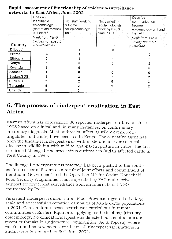| $n$ and $n$ as $n$ and $n$ and $n$ and $n$ and $n$ |                                                                  |                                                    |                                                       |                                                               |  |  |  |  |  |  |  |
|----------------------------------------------------|------------------------------------------------------------------|----------------------------------------------------|-------------------------------------------------------|---------------------------------------------------------------|--|--|--|--|--|--|--|
|                                                    | Does an :<br>identifiable<br>epidemiology<br>(central/animation) | No. staff working<br>full-time<br>for epidemiology | No. trained<br>epidemiologists<br>working $> 40\%$ of | Describe<br>communication<br>between<br>epidemiology unit and |  |  |  |  |  |  |  |
|                                                    | unit exist?                                                      | lunit i                                            | time in EU                                            | the field                                                     |  |  |  |  |  |  |  |
|                                                    | Rank from 1 to 5                                                 |                                                    |                                                       | Rank from 1 to 5                                              |  |  |  |  |  |  |  |
|                                                    | 1=does not exist; 5                                              |                                                    |                                                       | 1=very poor; $5 =$                                            |  |  |  |  |  |  |  |
| Country                                            | = clearly exists                                                 |                                                    |                                                       | excellent<br>시간사이                                             |  |  |  |  |  |  |  |
| Djibouti                                           |                                                                  |                                                    |                                                       |                                                               |  |  |  |  |  |  |  |
| Eritrea                                            |                                                                  |                                                    |                                                       |                                                               |  |  |  |  |  |  |  |
| Ethiopia                                           |                                                                  |                                                    |                                                       |                                                               |  |  |  |  |  |  |  |
| Kenya                                              |                                                                  |                                                    |                                                       |                                                               |  |  |  |  |  |  |  |
| Rwanda                                             |                                                                  |                                                    |                                                       |                                                               |  |  |  |  |  |  |  |
| Somalia                                            |                                                                  |                                                    |                                                       |                                                               |  |  |  |  |  |  |  |
| Sudan, GOS                                         |                                                                  |                                                    |                                                       |                                                               |  |  |  |  |  |  |  |
| Sudan, S                                           |                                                                  |                                                    |                                                       |                                                               |  |  |  |  |  |  |  |
| Tanzania                                           |                                                                  |                                                    |                                                       |                                                               |  |  |  |  |  |  |  |
| Uganda                                             |                                                                  |                                                    |                                                       |                                                               |  |  |  |  |  |  |  |

### **Rapid assessment of functionality of epidemio-surveillance networks In EastAfrica, June 2002**

# **6. The process of rinderpest eradication in East Africa**

Eastern Africa has experienced 30 reported rinderpest outbreaks since 1995 based on clinical and, in many instances, on confirmatory laboratory diagnosis. Most outbreaks, affecting wild cloven-hoofed ungulates and cattle, have occurred in Kenya. The causative agent has been the lineage II rinderpest virus with moderate to severe clinical disease in wildlife but with mild to unapparent picture in cattle. The last confirmed Lineage I rinderpest virus outbreak in Sudan affected cattle in Torit County in 1998.

The lineage I rinderpest virus reservoir has been pushed to the southeastern corner of Sudan as a result of joint efforts and commitment of the Sudan Government and the Operation Lifeline Sudan Household Food Security Programme. This is operated by FAO and receives support for rinderpest surveillance from an International NGO contracted by PACE.

Persistent rinderpest rumours from Pibor Province triggered off a large scale and successful vaccination campaign of Murle cattle populations in 2001. Concomitant disease search was carried out in remote communities of Eastern Equatoria applying methods of participatory epidemiology. No clinical rinderpest was detected but results indicate recent outbreaks in underserved communities (Jie & Toposa), where vaccination has now been carried out. All rinderpest vaccinations in Sudan were terminated on 30<sup>th</sup> June 2002.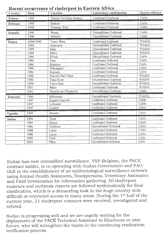| Country<br>Date |           | $\alpha$ . See all $\alpha$ and $\alpha$ is a limit of $\beta$ are $\alpha$ in $\beta$<br>Location | Laboratory confirmation | Species affected |
|-----------------|-----------|----------------------------------------------------------------------------------------------------|-------------------------|------------------|
| Eritrea         | 1995      | Tseada Christian Asmara                                                                            | Confirmed Outbreak      | Cattle           |
| Ethiopia        | 1995      | Mehori                                                                                             | Confirmed Outbreak      | Cattle           |
|                 | 1995      | Temenja Yazj                                                                                       | Confirmed Outbreak      | Cattle           |
| Somalia         | 1996      | Wante                                                                                              | Unconfirmed Outbreak    | Cattle           |
|                 | 1998      | Afmadu                                                                                             | Unconfirmed Outbreak    | Cattle           |
| Kenva           | 1994/1995 | Tsavo West                                                                                         | Confirmed Outbreak      | Wildlife         |
|                 | 1995      | Amboseli                                                                                           | Unconfirmed Outbreak    | Wildlife         |
|                 | 1995      | Ijara                                                                                              | Unconfirmed Outbreak    | Wildlife         |
|                 | 1995      | Meru                                                                                               | Unconfirmed Outbreak    | Wildlife         |
|                 | 1996      | Elwak                                                                                              | Unconfirmed Outbreak    | Cattle           |
|                 | 1996      | Fino                                                                                               | Confirmed Outbreak      | Cattle           |
|                 | 1996      | Hashino                                                                                            | Confirmed Outbreak      | Cattle           |
|                 | 1996      | Warangera                                                                                          | Confirmed Outbreak      | Cattle           |
|                 | 1996      | Kajiado                                                                                            | Confirmed Outbreak      | Cattle           |
|                 | 1996      | Nairobi Nat'l Park                                                                                 | Confirmed Outbreak      | Wildlife         |
|                 | 1996      | Tana River                                                                                         | Unconfirmed Outbreak    | Wildlife         |
|                 | 1999      | <b>Tsavo East</b>                                                                                  | Unconfirmed Outbreak    | Wildlife         |
|                 | 2001      | Meru                                                                                               | Confirmed Outbreak      | Wildlife         |
|                 | 2002      | Maralal and Rumuruti                                                                               | Unconfirmed Outbreak    | Cattle           |
| Tanzania        | 1996      | Mikomazi                                                                                           | Unconfirmed Outbreak    | Wildlife         |
|                 | 1997      | Engare Nanyuki                                                                                     | Confirmed Outbreak      | Cattle           |
|                 | 1997      | Loliondo                                                                                           | Confirmed Outbreak      | Cattle           |
|                 | 1997      | Lositeti                                                                                           | Confirmed Outbreak      | Cattle           |
| Uganda          | 1994      | Moroto                                                                                             | Confirmed Outbreak      | Cattle           |
| Sudan           | 1994      | Thiet                                                                                              | Confirmed Outbreak      | Cattle           |
|                 | 1995      | Niarus                                                                                             | Confirmed Outbreak      | Cattle           |
|                 | 1996      | Tambura                                                                                            | Unconfirmed Outbreak    | Cattle           |
|                 | 1998      | Lafon                                                                                              | Confirmed Outbreak      | Cattle           |
|                 | 1998      | Lauro                                                                                              | Confirmed Outbreak      | Cattle           |
|                 | 1998      | Torit                                                                                              | Confirmed Outbreak      | Cattle           |
|                 | 2001      | Pibor                                                                                              | Unconfirmed outbreak    | cattle           |

### Recent occurrence of rinderpest in Eastern Africa

Sudan has now intensiffied surveillance. VSF-Belgium, the PACE contract holder, is co-operating with Sudan Government and FAO-OLS in the establishment of an epidemiological surveillance network using Animal Health Assistants, Stockpersons, Veterinary Assistants and Field Veterinarian for information gathering. All rinderpest rumours and outbreak reports are followed systematically for final clarification, which is a demanding task in the huge country with difficult or restricted access to many areas. During the 1st half of the current year, 21 rinderpest rumours were received, investigated and refuted.

Sudan is progressing well and we are eagerly waiting for the deployment of the PACE Technical Assistant to Khartoum in near future, who will strengthen the teams in the continuing eradication verification process.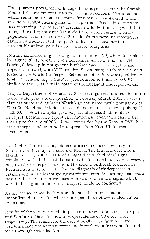The apparent prevalence of lineage II rinderpest virus in the Somali Pastoral Ecosystem continues to be of great concern. The infection, which remained undetected over a long period, reappeared in the middle of 1990<sup>th</sup> causing mild or unapparent disease in cattle with accompanying mild to severe disease in wildlife. It is suggested that lineage II rinderpest virus has a kind of endemic centre in cattle populated regions of southern Somalia, from where the infection is carried by trade-related and pastoral livestock movements to susceptible animal populations in surrounding areas.

Routine seroscreening of young buffalo in Meru NP, which took place in August 2001, revealed two rinderpest positive animals on VNT. During follow-up investigations buffaloes aged 1.5 to 5 years and appearing unwell, were VNT positive. Eleven samples from 5 animals tested at the World Rinderpest Reference Laboratory were positive on RT-PCR. Sequencing of the PCR products found them to be 99% similar to the 1994 buffalo isolate of the lineage II rinderpest virus.

Kenyan Department of Veterinary Services organized and carried out a major rinderpest search operation in February-March 2002 in seven districts surrounding Meru NP with an estimated cattle population of 720,000. No clinical rinderpest was detected and serology applying H c-ELISA on 9651 samples gave very variable results difficult to interpret, because rinderpest vaccination had continued east of the area up to the end of 2001. It was concluded by the Kenyan DVS that the rinderpest infection had not spread from Meru NP to areas investigated.

Two highly rindepest suspicious outbreaks occurred recently in Samburu and Laikipia Districts of Kenya. The first one occurred in Maralal in July 2002. Cattle of all ages died with clinical signs consistent with rinderpest. Laboratory tests carried out were, however, negative for rinderpest infection. The second outbreak occurred in Rumuruti in October 2001. Clinical diagnosis of rinderpest was established by the investigating veterinary team. Laboratory tests were negative but no alternative disease as cause of clinical signs, which were indistinguishable from rinderpest, could be confirmed.

As the consequence, both outbreaks have been recorded as unconfirmed outbreaks, where rinderpest has not been ruled out as the cause.

Results of the very recent rinderpest serosurvey in northern Laikipia and Samburu Districts show a seroprevalence of 30% and 15%, respectively. The reason for the exceptionally high figures in two districts inside the Kenyan provisionally rinderpest free zone demand for a thorough investigation.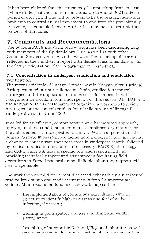It has been claimed that the cause may be restocking from the east (where rinderpest vaccination continued up to end of 2001) after a period of drought. If this will be proven to be the reason, indicating problems to control animal movement to and from the provisionally free zone, responsible Kenyan Authorities may have to rethink the borders of that zone.

# **7. Comments and Recommendations**

The ongoing PACE mid-term review team has been discussing long with members of the Epidemiology Unit, as well as with other Common Services Units. Also the views of the reporting officer are reflected in their mid-term report with detailed recommendations for the future orientation of the programme in East Africa.

### **7.1. Concentration in rinderpest eradication and eradication verification**

The recent epidemic of lineage II rinderpest in Kenyan Meru National Park questioned our surveillance methods, eradication/control strategies and the application of the process for international recognition for freedom from rinderpest. For this reason, AU-IBAR and the Kenyan Veterinary Department organized a workshop to review strategies for the control/eradication of mild strains of lineage II rinderpest virus in June 2002.

It called for an effective, comprehensive and harmonized approach, applying methods and instruments in a complimentary manner for the achievement of rinderpest eradication. PACE components in the Somali Pastoral Ecosystem are facing here a challenge and are having a chance to concentrate their resources in rinderpest search, followed by tactical eradication measures, if necessary. PACE Epidemiology and CAPE Units will have a specific role and responsibility in providing technical support and assistance in facilitating field operations in Somali pastoral areas. Reliable laboratory support will be indispensable.

The workshop on mild rinderpest discussed exhaustively a number of eradication options and made recommendations for appropriate actions. Main recommendations of the workshop call for

- the implementation of continuous surveillance with the objective to identify high-risk areas and foci of active infection, if present;
- training in participatory disease searching and wildlife surveillance;
- furnishing of supporting National/Regional laboratories with resources essential for prompt testing of samples according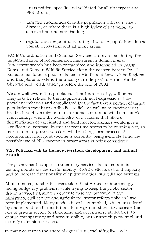are sensitive, specific and validated for all rinderpest and PPR strains;

- targeted vaccination of cattle population with confirmed disease, or where there is a high index of suspicion, to achieve immuno-sterilisation;
- regular and frequent monitoring of wildlife populations in the Somali Ecosystem and adjacent areas.

PACE Co-ordination and Common Services Units are facilitating the implementation of recommended measures in Somali areas. Rinderpest search has been reorganized and intensified by PACE Kenya and Kenyan Wildlife Service along the eastern border. PACE Somalia has taken up surveillance in Middle and Lower Juba Regions and has plans to extend the tracing of rinderpest to Hiron, Middle Shebelle and South Mudugh before the end of 2002.

We are well aware that problems, other than security, will be met. They may be related to the inapparent clinical expression of the prevalent infection and complicated by the fact that a portion of target populations may have antibodies to field as well as to vaccine virus. Eradication of the infection in an endemic situation will be a complex undertaking, where the availability of a vaccine that allows differentiation of vaccinated and field infected animals would give a significant advantage. In this respect time seems to be running out, as research on improved vaccines will be a long-term process. A recombinant rinderpest vaccine is currently being evaluated and the possible use of PPR vaccine in target areas is being considered.

### **7.2. Political will to finance livestock development and animal health**

The government support to veterinary services is limited and is casting doubts on the sustainability of PACE efforts to build capacity and to increase functionality of epidemiological surveillance systems.

Ministries responsible for livestock in East Africa are increasingly facing budgetary problems, while trying to keep the public sector driven services running. In order to ease the pressure in the ministries, civil service and agricultural sector reform policies have been implemented. Many models have been applied, which are offered by donors and credit institutions to merge ministries, to increase the role of private sector, to streamline and decentralise structures, to ensure transparency and accountability, or to retrench personnel and to unify extension services.

In many countries the share of agriculture, including livestock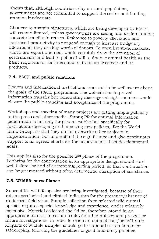shows that, although countries relay on rural population, governments are not committed to support the sector and funding remains inadequate.

Chances to sustain structures, which are being developed by PACE, will remain limited, unless governments are seeing and understanding concrete benefits in return. Reference to poverty alleviation and increased productivity is not good enough to increase budgetary allocations; they are key words of donors. To open livestock markets, which are export oriented, would certainly draw the attention of governments and lead to political will to finance animal health as the basic requirement for international trade on livestock and its products.

## **7.4. PACE and public relations**

Donors and international institutions seem not to be well aware about the goals of the PACE programme. The website has improved Information transfer but penetrating messages at right moment would elevate the public standing and acceptance of the programme.

Workshops and meeting of many projects are getting ample publicity in the press and other media. Strong PR for optimal information penetration is not only for general public but specifically for institutions developing and imposing new policies, like the World Bank Group, so that they do not overwrite other projects in implementation, but understand the significance and give continuous support to all agreed efforts for the achievement of set developmental goals.

This applies also for the possible  $2<sup>nd</sup>$  phase of the programme. Lobbying for the continuation in an appropriate design should start well before the end of current supporting period, so that continuation can be guaranteed without often detrimental disruption of assistance.

### **7.5. Wildlife surveillance**

Susceptible wildlife species are being investigated, because of their role as serological and clinical indicators for the presence/absence of rinderpest field virus. Sample collection from selected wild animal species requires special knowledge and experience, and is relatively expensive. Material collected should be, therefore, stored in an appropriate manner in serum banks for other subsequent present or future investigations, in order to reach an optimal cost/benefit ratio. Aliquots of Wildlife samples should go to national serum banks for safekeeping, following the guidelines of good laboratory practice.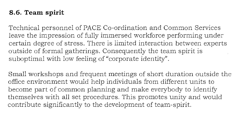#### **8.6. Team spirit**

Technical personnel of PACE Co-ordination and Common Services leave the impression of fully immersed workforce performing under certain degree of stress. There is limited interaction between experts outside of formal gatherings. Consequently the team spirit is suboptimal with low feeling of "corporate identity".

Small workshops and frequent meetings of short duration outside the office environment would help individuals from different units to become part of common planning and make everybody to identify themselves with all set procedures. This promotes unity and would contribute significantly to the development of team-spirit.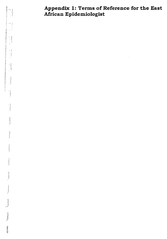**Appendix 1: Terms of Reference for the East African Epidemiologist** 

 $\pm$ 

 $\parallel$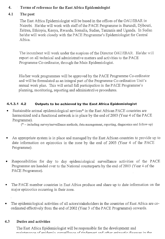### 4. Terms of reference for the East Africa Epidemiologist

#### 4.1 The post

The East Africa Epidemiologist will be based in the offices of the OAU/IBAR in Nairobi. He/she will work with staff of the PACE Programme in Burundi, Djibouti, Eritrea, Ethiopia, Kenya, Rwanda, Somalia, Sudan, Tanzania and Uganda. In Sudan he/she will work closely with the PACE Programme's Epidemiologist for Central Africa.

The incumbent will work under the auspices of the Director OAU/TRAR. He/she will report on all technical and administrative matters and activities to the PACE Programme Co-ordinator, through the Main Epidemiologist.

His/her work programmes will be approved by the PACE Programme Co-ordinator and will be formulated as an integral part of the Programme Co-ordination Unit's annual work plan. This will entail full participation in the PACE Programme's planning, monitoring, reporting and administrative procedures.

#### **4.1.3.1 4.2 Outputs to be achieved by the East Africa Epidemiologist**

Sustainable animal epidemiological services\* in the East African PACE countries are harmonized and a functional network is in place by the end of 2003 (Year 4 of the PACE Programme).

(\* — including survey/surveillance methods, data management, reporting, diagnostics and follow-up)

- An appropriate system is in place and managed by the East African countries to provide up to date information on epizootics in the zone by the end of 2003 (Year 4 of the PACE Programme).
- Responsibilities for day to day epidemiological surveillance activities of the PACE Programme are handed over to the National counterparts by the end of 2003 (Year 4 of the PACE Programme).
- The PACE member countries in East Africa produce and share up to date information on the major epizootics occurring in their zone.
- The epidemiological activities of all actors/stakeholders in the countries of East Africa are coordinated effectively from the end of 2002 (Year 3 of the PACE Programme) onwards.

#### 4.3 Duties and activities

The East Africa Epidemiologist will be responsible for the development and maintenance of enidemic curreillance of rindernest and other enizootic diseases in the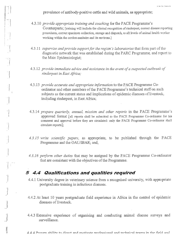prevalence of antibody-positive cattle and wild animals, as appropriate;

i

 $\begin{array}{c} \begin{array}{c} \begin{array}{c} \begin{array}{c} \end{array} \\ \begin{array}{c} \end{array} \end{array} \\ \begin{array}{c} \end{array} \end{array} \end{array}$ 

 $\begin{bmatrix} 1 \\ 1 \\ 1 \end{bmatrix}$ 

 $\left\{ \begin{array}{c} 1 \\ 1 \end{array} \right\}$ 

- 4.3.10 *provide appropriate training and coaching* for the PACE Programme's Counterparts; [training will include the clinical recognition of rinderpest, correct disease reporting procedures, correct specimen collection, storage and dispatch, to all levels of animal health worker working within the cordon-sanitaire and its environs.]
- 4.3.11 *supervise and provide support for the region's laboratories* that form part of the diagnostic network that was established during the PARC Programme, and report to the Main Epidemiologist;
- 4.3.12 *provide immediate advice and assistance in the event of a suspected outbreak of rinderpest in East Africa;*
- 4.3.13 *provide accurate and appropriate information* to the PACE Programme Coordinator and other members of the PACE Programme's technical staff on such subjects as the current status and implications of epidemic diseases of livestock; including rinderpest, in East Africa;
- 4.3.14 *prepare quarterly, annual, mission and other reports* in the PACE Programme's approved format [all reports shall be submitted to the PACE Programme Co-ordinator for his comment and approval before they are circulated: only the PACE Programme Co-ordinator shall circulate reports];
- *4.3.15 write scientific papers,* as appropriate, to be published through the PACE Programme and the OAU/IBAR; and,
- *4.3.16 perform other duties* that may be assigned by the PACE Programme Co-ordinator that are consistent with the objectives of the Programme.

### **5 4.4 Qualifications and qualities required**

- 4.4.1 University degree in veterinary science from a recognised university, with appropriate postgraduate training in infectious diseases.
- 4.4.2 At least 10 years postgraduate field experience in Africa in the control of epidemic diseases of livestock.
- 4.4.3 Extensive experience of organising and conducting animal disease surveys and surveillance.

 $\Delta\Delta\Delta$  Proven ability to direct and motivate professional and technical teams in the field and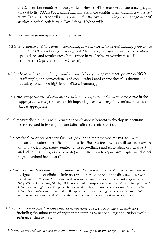PACE member countries of East Africa. He/she will oversee vaccination campaigns related to the PACE Programme and will assist the establishment of intensive disease surveillance. He/she will be responsible for the overall planning and management of epidemiological activities in East Africa. He/she will:

- 4.3.1 *provide regional assistance* in East Africa;
- 4.3.2 *co-ordinate and harmonize vaccination, disease surveillance and sanitary procedures*  in the PACE member countries of East Africa, through agreed common operating procedures and regular cross-border meetings of relevant veterinary staff (government, private and NGO-based);
- 4.3.3 *advise and assist with improved vaccine delivery* (by government, private or NGO staff employing conventional and community based approaches plus thermostable vaccine) to achieve high levels of herd immunity;
- 4.3.4 encourage the use of permanent visible marking systems for vaccinated cattle in the appropriate zones, and assist with improving cost recovery for vaccination where this is appropriate;
- 4.3.5 *continually monitor the movement of cattle* across borders to develop an accurate overview and to have up to date information on their location;
- 4.3.6 *establish close contact with farmers groups* and their representatives, and with influential leaders of public opinion so that the livestock owners will be made aware of the PACE Programme (related to the surveillance and eradication of rinderpest and other epizootics, as appropriate) and of the need to report any suspicious clinical signs to animal health staff;
- 4.3.7 *promote the development and routine use of national systems of disease surveillance*  designed to detect clinical rinderpest and other major epizootic diseases [This will include routine "passive" reporting to all available animal health services providers (government and private veterinarians, NGOs, CBAHWs etc.) of all suspect cases, supported by routine purposive surveillance of high risk cattle populations at markets, border crossings, stock routes etc. Random surveys for clinical disease will reduce the spread of diseases through an unsuspected route and will assist in preparing for eventual declarations of freedom from rinderpest and other diseases.]
- 4.3.8 *facilitate and assist in follow-up investigations* of all suspect cases of rinderpest, including the submission of appropriate samples to national, regional and/or world reference laboratories;
- 4.3.9 *advise on and assist with routine random serological monitoring* to assess the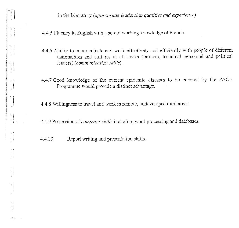in the laboratory *(appropriate leadership qualities and experience).* 

4.4.5 Fluency in English with a sound working knowledge of French.

- 4.4.6 Ability to communicate and work effectively and efficiently with people of different nationalities and cultures at all levels (fanners, technical personnel and political leaders) *(communication skills).*
- 4.4.7 Good knowledge of the current epidemic diseases to be covered by the PACE Programme would provide a distinct advantage.

4.4.8 Willingness to travel and work in remote, undeveloped rural areas.

4.4.9 Possession of *computer skills* including word processing and databases.

4.4.10 Report writing and presentation skills.

 $\begin{bmatrix} 1 \\ 1 \\ 1 \end{bmatrix}$ 

 $-14$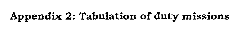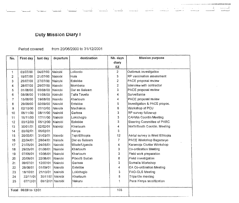## Duty Mission Diary I

#### Period covered: from 20/06/2000 to 31/12/2001

| No. | First day            | last day | departure        | destination   | Nb. days                | <b>Mission purpose</b>         |
|-----|----------------------|----------|------------------|---------------|-------------------------|--------------------------------|
|     |                      |          |                  |               | diary                   |                                |
|     |                      |          |                  |               | EZ.                     |                                |
| 1   | 03/07/00             | 04/07/00 | Nairobi.         | Loliondo      | $\mathbf{2}$            | Outbreak investigation         |
| 2   | 19/07/00             | 21/07/00 | l Nairobi        | Hola          | 3                       | RP vaccination assessment      |
| 3   | 25/07/00             | 27/07/00 | Nairobi          | Entebbe       | $\overline{\mathbf{2}}$ | PACE proposal review           |
| 4   | 28/07/00             | 29/07/00 | Nairobi          | Mombasa       | $\overline{c}$          | Interview with contractor      |
| 5   | 01/08/00             | 03/08/00 | Nairobi          | Dar es Salaam | 3                       | PACE proposal review           |
| 6   | 08/08/00             | 11/08/00 | Nairobi          | Taita Taveta  | 4                       | Surveillance                   |
| 7   | 15/08/00             | 19/08/00 | Nairobi          | Khartoum      | 4                       | PACE proposal review           |
| 8   | 29/08/00             | 02/09/00 | Nairobi          | Entebbe       | 5                       | Investigation & PACE propos.   |
| 9   | 02/10/00             | 07/10/00 | Nairobi          | Machakos      | 6                       | Workshop of PCU                |
| 10  | 06/11/00             | 08/11/00 | Nairobi          | Garissa       | 3                       | RP survey follow-up            |
| 11  | 15/11/00             | 17/11/00 | l Nairobi        | Lokichogio    | 3                       | CAHWs Coordin Meeting          |
| 12  | 03/12/00             | 05/12/00 | Nairobi          | Entebbe       | 3                       | Steering Committee of PARC     |
| 13  | 30/01/01             | 02/02/01 | Nairobi          | Khartoum      | 4                       | North/South Coordin. Meeting   |
| 14  | 03/02/01             | 05/02/01 |                  | Kenya         | 3                       |                                |
| 15  | 20/03/01             | 31/03/01 | l Nairobi        | Tepi/Ethiopia | 12                      | Aerial survey in West Ethiopia |
| 16  | 22/04/01             | 28/04/01 | Nairobi          | Dar es Salaam | 7                       | PACE Workshop Bagamoyo         |
| 17  | 21/05/01             | 24/05/01 | Nairobi          | Mbale/Uganda  | 4                       | Karamoja Cluster Workshop      |
| 18  | 29/05/01             | 01/06/01 | l Nairobi        | Khartoum      | 3                       | Co-ordination Meeting          |
| 19  | 07/06/01             | 10/06/01 | Nairobi          | Khartoum      | 3                       | Field work preparation         |
| 20  | 20/06/01             | 22/06/01 | Mairobi          | Pibor/S Sudan | 8                       | Field investigation            |
| 21  | 09/07/01             | 12/07/01 | Nairobi          | Garissa       | 3                       | Somalia Workshop               |
| 22  | 28/08/01             | 01/09/01 | l Nairobi        | Entebbe       | 4                       | EA Co-ordination Meeting       |
| 23  | 18/10/01             | 21/10/01 | Nairobi          | Lokichogio    | 3                       | <b>FAO-OLS Meeting</b>         |
| 24  | 22/11/01             |          | 30/11/01 Nairobi | Khartoum      | 8                       | Tripartite meeting             |
| 25  | 07/12/01             |          | 08/12/01 Nairobi | Nakuru        | 1                       | Pace Kenya sensitization       |
|     |                      |          |                  |               |                         |                                |
|     | Total 06/00 to 12/01 |          |                  |               | 103                     |                                |
|     |                      |          |                  |               |                         |                                |

 $\sim 10^7$ 

Sun Sun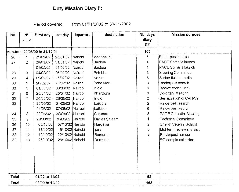# Duty Mission Diary H:

Period covered: from 01/01/2002 to 30/11/2002

| No.   | $N^{\circ}$<br>2002 | First day                      | last day         | departure      | destination   | Nb. days<br>diary<br><b>EZ</b> | <b>Mission purpose</b>     |
|-------|---------------------|--------------------------------|------------------|----------------|---------------|--------------------------------|----------------------------|
|       |                     |                                |                  |                |               |                                |                            |
|       |                     | sub-total 20/06/00 to 31/12/01 |                  |                |               | 103                            |                            |
| 26    | 1                   | 21/01/02                       | 25/01/02         | Nairobi        | Madogashi     | 5                              | Rinderpest search          |
| 27    | $\overline{2}$      | 29/01/02                       | 31/01/02         | Nairobi        | Baidoia       | 4                              | PACE Somalia launch        |
|       |                     | 01/02/02                       | 01/02/02         | Nairobi        | Baidoia       |                                | PACE Somalia launch        |
| 28    | 3                   | 04/02/02                       | 06/02/02         | Nairobi        | Entebbe       | 3                              | <b>Steering Committee</b>  |
| 29    | 4                   | 09/02/02                       | 15/02/02         | Nairobi        | Narus         | 6                              | Sudan field co-ordin.      |
| 30    | 5                   | 26/02/02                       | 28/02/02         | Nairobi        | Boka Meru     | 3                              | Rinderpest search          |
| 30    | 5                   | 01/03/02                       | 06/03/02         | Nairobi        | Isiolo        | 6                              | (above continuing)         |
| 31    | 6                   | 20/04/02                       | 25/04/02         | Nairobi        | Khartoum      | 6                              | Co-ordin. Meeting          |
| 32    | 7                   | 26/05/02                       | 28/05/02         | Nairobi        | Isiolo        | $\overline{c}$                 | Sensitization of CAHWs     |
| 33    |                     | 30/05/02                       | 31/05/02         | Nairobi        | Laikipia      | $\overline{2}$                 | Rinderpest search          |
|       |                     | 01/06/02                       | 07/06/02         | Nairobi        | Laikipia      | 6                              | Rinderpest search          |
| 34    | 8                   | 22/06/02                       | 30/06/02         | ∣Nairobi       | Cotonou       | 8                              | PACE Co-ordin. Meeting     |
| 35    | 9                   | 29/08/02                       | 30/08/02         | <b>Nairobi</b> | Dar es Salaam | 1                              | <b>Technical Committee</b> |
| 36    | 10                  | 05/10/02                       | 07/10/02 Nairobi |                | Hargeisa      | $\overline{2}$                 | Sheikh Veterin, School     |
| 37    | 11                  | 13/10/02                       | 16/10/02 Nairobi |                | ljara         | 3                              | Mid-term review site visit |
| 38    | 12                  | 19/10/02                       | 22/10/02 Nairobi |                | Rumuruti      | 3                              | Rinderpest rumour          |
| 39    | 13                  | 25/10/02                       | 26/10/02 Nairobi |                | Rumuruti      |                                | RP sample collection       |
|       |                     |                                |                  |                |               |                                |                            |
| Total |                     | 01/02 to 12/02                 |                  |                |               | 62                             |                            |
| Total | 06/00 to 12/02      |                                |                  |                |               | 165                            |                            |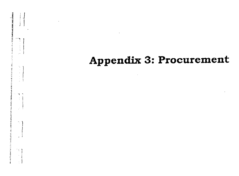# **Appendix 3: Procurement**

 $-\frac{1}{2}$ 

**CONTRACTOR**